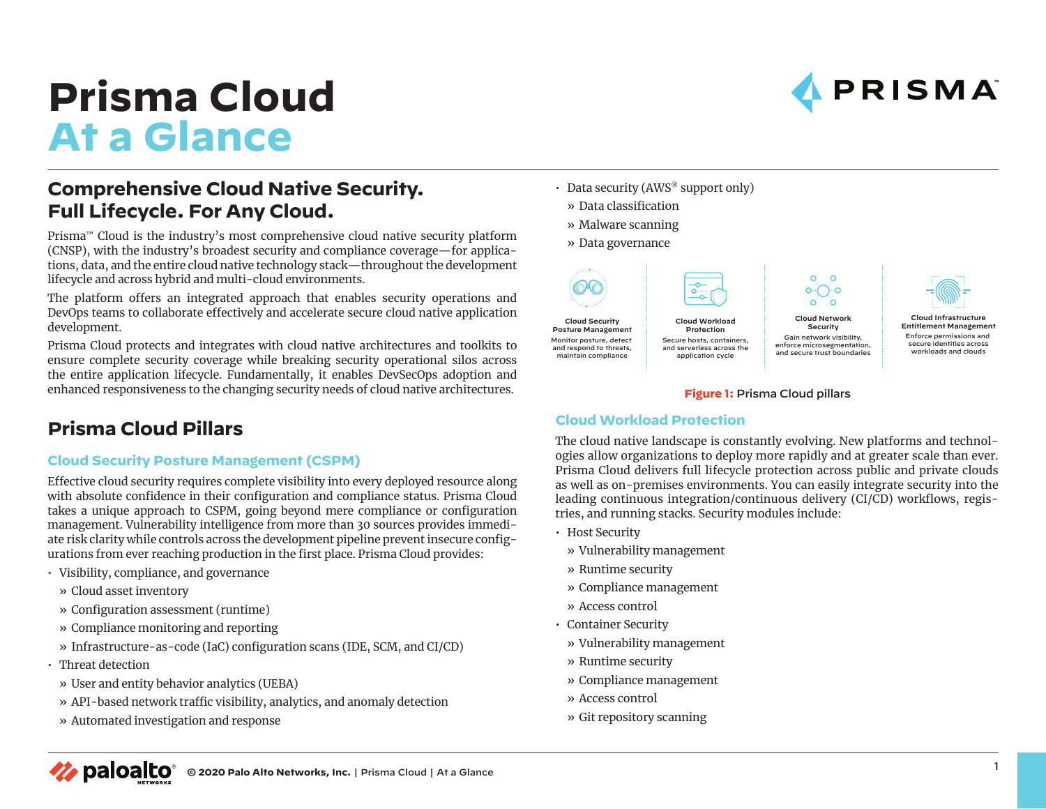# **Prisma Cloud At a Glance**

# **Comprehensive Cloud Native Security. Full Lifecycle. For Any Cloud.**

Prisma™ Cloud is the industry's most comprehensive cloud native security platform (CNSP), with the industry's broadest security and compliance coverage—for applications, data, and the entire cloud native technology stack—throughout the development lifecycle and across hybrid and multi-cloud environments.

The platform offers an integrated approach that enables security operations and DevOps teams to collaborate effectively and accelerate secure cloud native application development.

Prisma Cloud protects and integrates with cloud native architectures and toolkits to ensure complete security coverage while breaking security operational silos across the entire application lifecycle. Fundamentally, it enables DevSecOps adoption and enhanced responsiveness to the changing security needs of cloud native architectures.

## **Prisma Cloud Pillars**

## **Cloud Security Posture Management (CSPM)**

Effective cloud security requires complete visibility into every deployed resource along with absolute confidence in their configuration and compliance status. Prisma Cloud takes a unique approach to CSPM, going beyond mere compliance or configuration management. Vulnerability intelligence from more than 30 sources provides immediate risk clarity while controls across the development pipeline prevent insecure configurations from ever reaching production in the first place. Prisma Cloud provides:

- Visibility, compliance, and governance
	- » Cloud asset inventory
	- » Configuration assessment (runtime)
	- » Compliance monitoring and reporting
	- » Infrastructure-as-code (IaC) configuration scans (IDE, SCM, and CI/CD)
- Threat detection
- » User and entity behavior analytics (UEBA)
- » API-based network traffic visibility, analytics, and anomaly detection
- » Automated investigation and response
- Data security (AWS<sup>®</sup> support only)
	- » Data classification
	- » Malware scanning
- » Data governance

**Cloud Security Posture Management** Monitor posture, detect and respond to threats, maintain compliance



Secure hosts, containers, and serverless across the application cycle

**Cloud Workload Protection** Gain network visibility,



PRISMA

#### **Figure 1:** Prisma Cloud pillars

**Cloud Network Security**

 $\circ$  $\circ$ െ∩ംറ

enforce microsegmentation, and secure trust boundaries

## **Cloud Workload Protection**

The cloud native landscape is constantly evolving. New platforms and technologies allow organizations to deploy more rapidly and at greater scale than ever. Prisma Cloud delivers full lifecycle protection across public and private clouds as well as on-premises environments. You can easily integrate security into the leading continuous integration/continuous delivery (CI/CD) workflows, registries, and running stacks. Security modules include:

- Host Security
	- » Vulnerability management
	- » Runtime security
	- » Compliance management
	- » Access control
- Container Security
	- » Vulnerability management
	- » Runtime security
	- » Compliance management
	- » Access control
	- » Git repository scanning



**Cloud Infrastructure Entitlement Management** Enforce permissions and secure identities across workloads and clouds